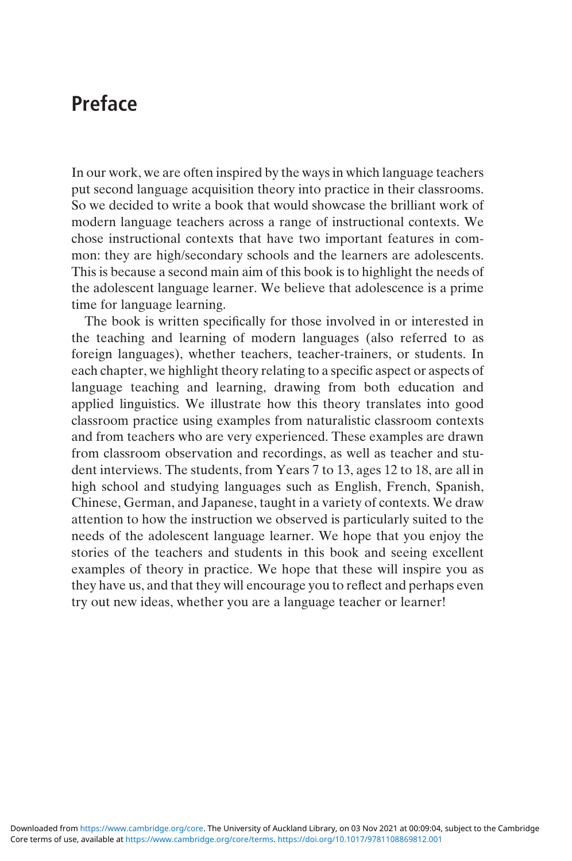## Preface

In our work, we are often inspired by the ways in which language teachers put second language acquisition theory into practice in their classrooms. So we decided to write a book that would showcase the brilliant work of modern language teachers across a range of instructional contexts. We chose instructional contexts that have two important features in common: they are high/secondary schools and the learners are adolescents. This is because a second main aim of this book is to highlight the needs of the adolescent language learner. We believe that adolescence is a prime time for language learning.

The book is written specifically for those involved in or interested in the teaching and learning of modern languages (also referred to as foreign languages), whether teachers, teacher-trainers, or students. In each chapter, we highlight theory relating to a specific aspect or aspects of language teaching and learning, drawing from both education and applied linguistics. We illustrate how this theory translates into good classroom practice using examples from naturalistic classroom contexts and from teachers who are very experienced. These examples are drawn from classroom observation and recordings, as well as teacher and student interviews. The students, from Years 7 to 13, ages 12 to 18, are all in high school and studying languages such as English, French, Spanish, Chinese, German, and Japanese, taught in a variety of contexts. We draw attention to how the instruction we observed is particularly suited to the needs of the adolescent language learner. We hope that you enjoy the stories of the teachers and students in this book and seeing excellent examples of theory in practice. We hope that these will inspire you as they have us, and that they will encourage you to reflect and perhaps even try out new ideas, whether you are a language teacher or learner!